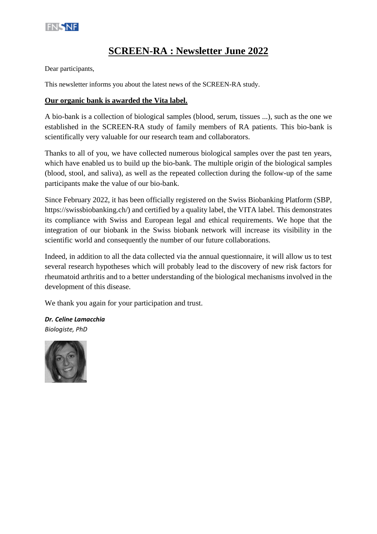

## **SCREEN-RA : Newsletter June 2022**

Dear participants,

This newsletter informs you about the latest news of the SCREEN-RA study.

#### **Our organic bank is awarded the Vita label.**

A bio-bank is a collection of biological samples (blood, serum, tissues ...), such as the one we established in the SCREEN-RA study of family members of RA patients. This bio-bank is scientifically very valuable for our research team and collaborators.

Thanks to all of you, we have collected numerous biological samples over the past ten years, which have enabled us to build up the bio-bank. The multiple origin of the biological samples (blood, stool, and saliva), as well as the repeated collection during the follow-up of the same participants make the value of our bio-bank.

Since February 2022, it has been officially registered on the Swiss Biobanking Platform (SBP, https://swissbiobanking.ch/) and certified by a quality label, the VITA label. This demonstrates its compliance with Swiss and European legal and ethical requirements. We hope that the integration of our biobank in the Swiss biobank network will increase its visibility in the scientific world and consequently the number of our future collaborations.

Indeed, in addition to all the data collected via the annual questionnaire, it will allow us to test several research hypotheses which will probably lead to the discovery of new risk factors for rheumatoid arthritis and to a better understanding of the biological mechanisms involved in the development of this disease.

We thank you again for your participation and trust.

*Dr. Celine Lamacchia Biologiste, PhD*

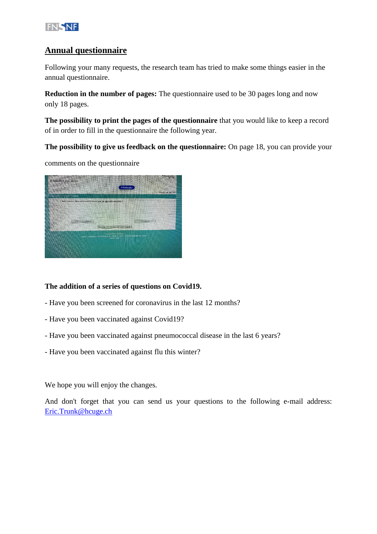

## **Annual questionnaire**

Following your many requests, the research team has tried to make some things easier in the annual questionnaire.

**Reduction in the number of pages:** The questionnaire used to be 30 pages long and now only 18 pages.

**The possibility to print the pages of the questionnaire** that you would like to keep a record of in order to fill in the questionnaire the following year.

**The possibility to give us feedback on the questionnaire:** On page 18, you can provide your

comments on the questionnaire



### **The addition of a series of questions on Covid19.**

- Have you been screened for coronavirus in the last 12 months?
- Have you been vaccinated against Covid19?
- Have you been vaccinated against pneumococcal disease in the last 6 years?
- Have you been vaccinated against flu this winter?

We hope you will enjoy the changes.

And don't forget that you can send us your questions to the following e-mail address: [Eric.Trunk@hcuge.ch](mailto:Eric.Trunk@hcuge.ch)